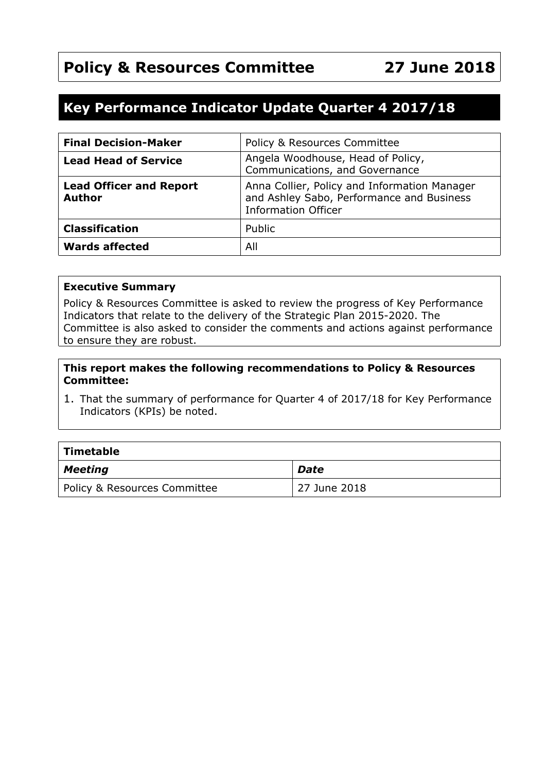# **Policy & Resources Committee 27 June 2018**

# **Key Performance Indicator Update Quarter 4 2017/18**

| <b>Final Decision-Maker</b>                     | Policy & Resources Committee                                                                                            |
|-------------------------------------------------|-------------------------------------------------------------------------------------------------------------------------|
| <b>Lead Head of Service</b>                     | Angela Woodhouse, Head of Policy,<br>Communications, and Governance                                                     |
| <b>Lead Officer and Report</b><br><b>Author</b> | Anna Collier, Policy and Information Manager<br>and Ashley Sabo, Performance and Business<br><b>Information Officer</b> |
| <b>Classification</b>                           | Public                                                                                                                  |
| <b>Wards affected</b>                           | All                                                                                                                     |

#### **Executive Summary**

Policy & Resources Committee is asked to review the progress of Key Performance Indicators that relate to the delivery of the Strategic Plan 2015-2020. The Committee is also asked to consider the comments and actions against performance to ensure they are robust.

#### **This report makes the following recommendations to Policy & Resources Committee:**

1. That the summary of performance for Quarter 4 of 2017/18 for Key Performance Indicators (KPIs) be noted.

| $\mid$ Timetable             |              |  |  |  |
|------------------------------|--------------|--|--|--|
| $\vert$ Meeting              | <b>Date</b>  |  |  |  |
| Policy & Resources Committee | 27 June 2018 |  |  |  |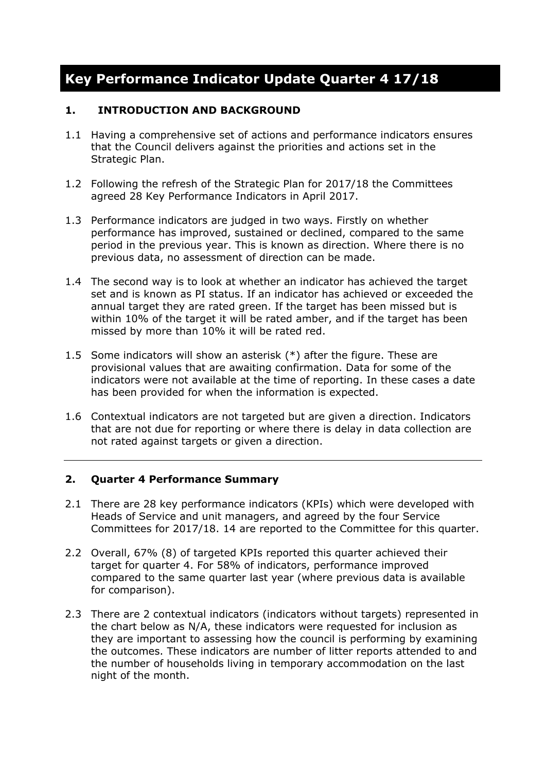# **Key Performance Indicator Update Quarter 4 17/18**

#### **1. INTRODUCTION AND BACKGROUND**

- 1.1 Having a comprehensive set of actions and performance indicators ensures that the Council delivers against the priorities and actions set in the Strategic Plan.
- 1.2 Following the refresh of the Strategic Plan for 2017/18 the Committees agreed 28 Key Performance Indicators in April 2017.
- 1.3 Performance indicators are judged in two ways. Firstly on whether performance has improved, sustained or declined, compared to the same period in the previous year. This is known as direction. Where there is no previous data, no assessment of direction can be made.
- 1.4 The second way is to look at whether an indicator has achieved the target set and is known as PI status. If an indicator has achieved or exceeded the annual target they are rated green. If the target has been missed but is within 10% of the target it will be rated amber, and if the target has been missed by more than 10% it will be rated red.
- 1.5 Some indicators will show an asterisk (\*) after the figure. These are provisional values that are awaiting confirmation. Data for some of the indicators were not available at the time of reporting. In these cases a date has been provided for when the information is expected.
- 1.6 Contextual indicators are not targeted but are given a direction. Indicators that are not due for reporting or where there is delay in data collection are not rated against targets or given a direction.

#### **2. Quarter 4 Performance Summary**

- 2.1 There are 28 key performance indicators (KPIs) which were developed with Heads of Service and unit managers, and agreed by the four Service Committees for 2017/18. 14 are reported to the Committee for this quarter.
- 2.2 Overall, 67% (8) of targeted KPIs reported this quarter achieved their target for quarter 4. For 58% of indicators, performance improved compared to the same quarter last year (where previous data is available for comparison).
- 2.3 There are 2 contextual indicators (indicators without targets) represented in the chart below as N/A, these indicators were requested for inclusion as they are important to assessing how the council is performing by examining the outcomes. These indicators are number of litter reports attended to and the number of households living in temporary accommodation on the last night of the month.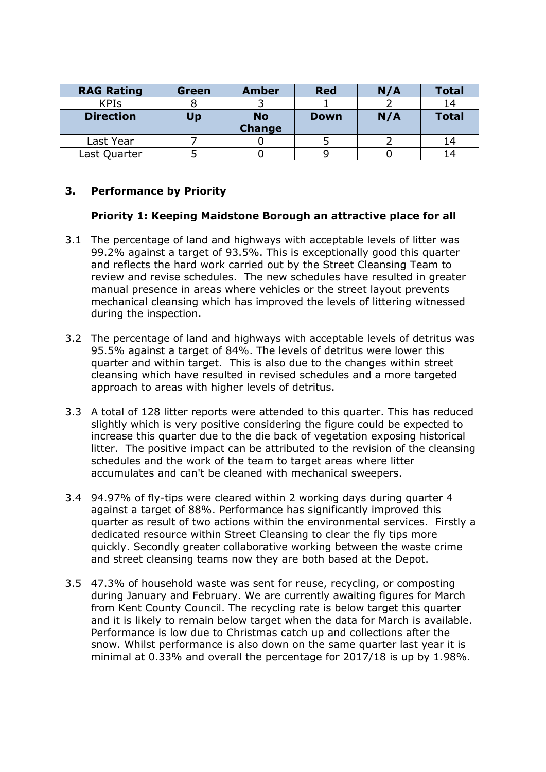| <b>RAG Rating</b> | <b>Green</b> | <b>Amber</b>               | <b>Red</b>  | N/A | <b>Total</b> |
|-------------------|--------------|----------------------------|-------------|-----|--------------|
| <b>KPIs</b>       |              |                            |             |     | 14           |
| <b>Direction</b>  | Up           | <b>No</b><br><b>Change</b> | <b>Down</b> | N/A | <b>Total</b> |
| Last Year         |              |                            |             |     | 14           |
| Last Quarter      |              |                            |             |     | 14           |

#### **3. Performance by Priority**

#### **Priority 1: Keeping Maidstone Borough an attractive place for all**

- 3.1 The percentage of land and highways with acceptable levels of litter was 99.2% against a target of 93.5%. This is exceptionally good this quarter and reflects the hard work carried out by the Street Cleansing Team to review and revise schedules. The new schedules have resulted in greater manual presence in areas where vehicles or the street layout prevents mechanical cleansing which has improved the levels of littering witnessed during the inspection.
- 3.2 The percentage of land and highways with acceptable levels of detritus was 95.5% against a target of 84%. The levels of detritus were lower this quarter and within target. This is also due to the changes within street cleansing which have resulted in revised schedules and a more targeted approach to areas with higher levels of detritus.
- 3.3 A total of 128 litter reports were attended to this quarter. This has reduced slightly which is very positive considering the figure could be expected to increase this quarter due to the die back of vegetation exposing historical litter. The positive impact can be attributed to the revision of the cleansing schedules and the work of the team to target areas where litter accumulates and can't be cleaned with mechanical sweepers.
- 3.4 94.97% of fly-tips were cleared within 2 working days during quarter 4 against a target of 88%. Performance has significantly improved this quarter as result of two actions within the environmental services. Firstly a dedicated resource within Street Cleansing to clear the fly tips more quickly. Secondly greater collaborative working between the waste crime and street cleansing teams now they are both based at the Depot.
- 3.5 47.3% of household waste was sent for reuse, recycling, or composting during January and February. We are currently awaiting figures for March from Kent County Council. The recycling rate is below target this quarter and it is likely to remain below target when the data for March is available. Performance is low due to Christmas catch up and collections after the snow. Whilst performance is also down on the same quarter last year it is minimal at 0.33% and overall the percentage for 2017/18 is up by 1.98%.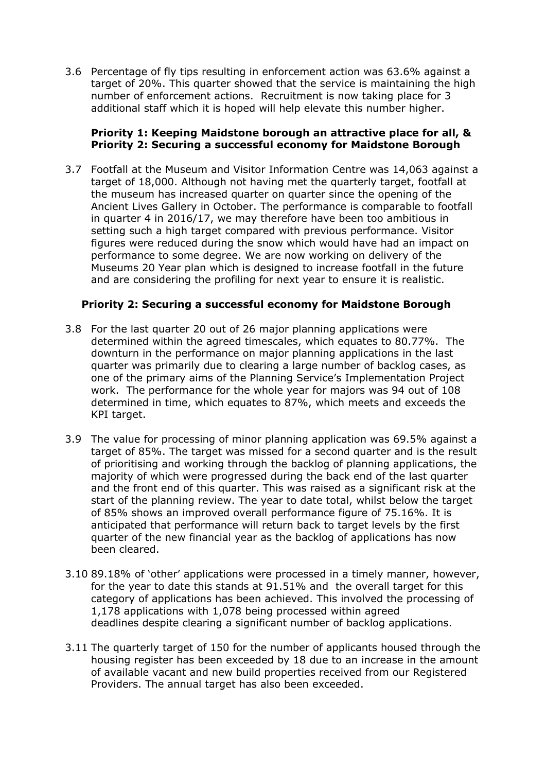3.6 Percentage of fly tips resulting in enforcement action was 63.6% against a target of 20%. This quarter showed that the service is maintaining the high number of enforcement actions. Recruitment is now taking place for 3 additional staff which it is hoped will help elevate this number higher.

#### **Priority 1: Keeping Maidstone borough an attractive place for all, & Priority 2: Securing a successful economy for Maidstone Borough**

3.7 Footfall at the Museum and Visitor Information Centre was 14,063 against a target of 18,000. Although not having met the quarterly target, footfall at the museum has increased quarter on quarter since the opening of the Ancient Lives Gallery in October. The performance is comparable to footfall in quarter 4 in 2016/17, we may therefore have been too ambitious in setting such a high target compared with previous performance. Visitor figures were reduced during the snow which would have had an impact on performance to some degree. We are now working on delivery of the Museums 20 Year plan which is designed to increase footfall in the future and are considering the profiling for next year to ensure it is realistic.

#### **Priority 2: Securing a successful economy for Maidstone Borough**

- 3.8 For the last quarter 20 out of 26 major planning applications were determined within the agreed timescales, which equates to 80.77%. The downturn in the performance on major planning applications in the last quarter was primarily due to clearing a large number of backlog cases, as one of the primary aims of the Planning Service's Implementation Project work. The performance for the whole year for majors was 94 out of 108 determined in time, which equates to 87%, which meets and exceeds the KPI target.
- 3.9 The value for processing of minor planning application was 69.5% against a target of 85%. The target was missed for a second quarter and is the result of prioritising and working through the backlog of planning applications, the majority of which were progressed during the back end of the last quarter and the front end of this quarter. This was raised as a significant risk at the start of the planning review. The year to date total, whilst below the target of 85% shows an improved overall performance figure of 75.16%. It is anticipated that performance will return back to target levels by the first quarter of the new financial year as the backlog of applications has now been cleared.
- 3.10 89.18% of 'other' applications were processed in a timely manner, however, for the year to date this stands at 91.51% and the overall target for this category of applications has been achieved. This involved the processing of 1,178 applications with 1,078 being processed within agreed deadlines despite clearing a significant number of backlog applications.
- 3.11 The quarterly target of 150 for the number of applicants housed through the housing register has been exceeded by 18 due to an increase in the amount of available vacant and new build properties received from our Registered Providers. The annual target has also been exceeded.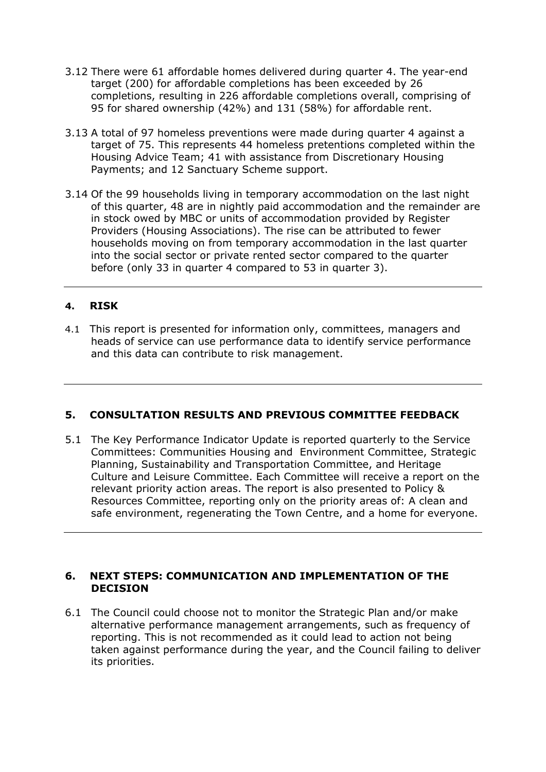- 3.12 There were 61 affordable homes delivered during quarter 4. The year-end target (200) for affordable completions has been exceeded by 26 completions, resulting in 226 affordable completions overall, comprising of 95 for shared ownership (42%) and 131 (58%) for affordable rent.
- 3.13 A total of 97 homeless preventions were made during quarter 4 against a target of 75. This represents 44 homeless pretentions completed within the Housing Advice Team; 41 with assistance from Discretionary Housing Payments; and 12 Sanctuary Scheme support.
- 3.14 Of the 99 households living in temporary accommodation on the last night of this quarter, 48 are in nightly paid accommodation and the remainder are in stock owed by MBC or units of accommodation provided by Register Providers (Housing Associations). The rise can be attributed to fewer households moving on from temporary accommodation in the last quarter into the social sector or private rented sector compared to the quarter before (only 33 in quarter 4 compared to 53 in quarter 3).

### **4. RISK**

4.1 This report is presented for information only, committees, managers and heads of service can use performance data to identify service performance and this data can contribute to risk management.

#### **5. CONSULTATION RESULTS AND PREVIOUS COMMITTEE FEEDBACK**

5.1 The Key Performance Indicator Update is reported quarterly to the Service Committees: Communities Housing and Environment Committee, Strategic Planning, Sustainability and Transportation Committee, and Heritage Culture and Leisure Committee. Each Committee will receive a report on the relevant priority action areas. The report is also presented to Policy & Resources Committee, reporting only on the priority areas of: A clean and safe environment, regenerating the Town Centre, and a home for everyone.

#### **6. NEXT STEPS: COMMUNICATION AND IMPLEMENTATION OF THE DECISION**

6.1 The Council could choose not to monitor the Strategic Plan and/or make alternative performance management arrangements, such as frequency of reporting. This is not recommended as it could lead to action not being taken against performance during the year, and the Council failing to deliver its priorities.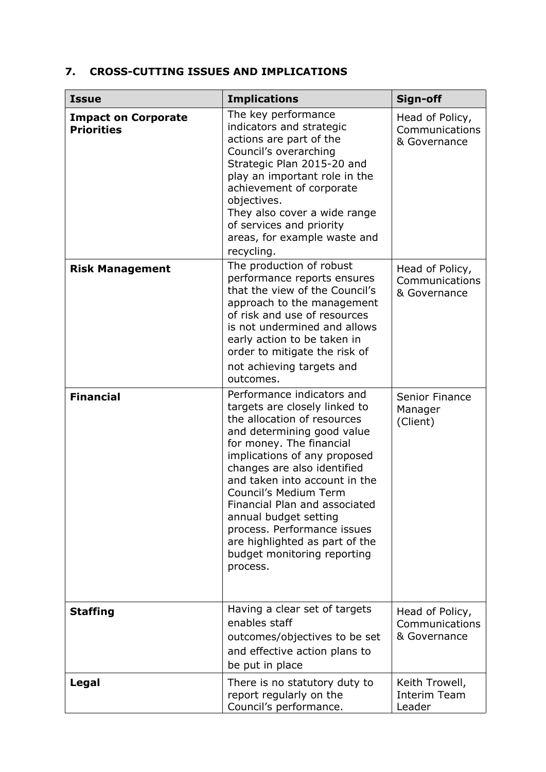# **7. CROSS-CUTTING ISSUES AND IMPLICATIONS**

| <b>Issue</b>                                    | <b>Implications</b>                                                                                                                                                                                                                                                                                                                                                                                                                                 | Sign-off                                          |
|-------------------------------------------------|-----------------------------------------------------------------------------------------------------------------------------------------------------------------------------------------------------------------------------------------------------------------------------------------------------------------------------------------------------------------------------------------------------------------------------------------------------|---------------------------------------------------|
| <b>Impact on Corporate</b><br><b>Priorities</b> | The key performance<br>indicators and strategic<br>actions are part of the<br>Council's overarching<br>Strategic Plan 2015-20 and<br>play an important role in the<br>achievement of corporate<br>objectives.<br>They also cover a wide range<br>of services and priority<br>areas, for example waste and<br>recycling.                                                                                                                             | Head of Policy,<br>Communications<br>& Governance |
| <b>Risk Management</b>                          | The production of robust<br>performance reports ensures<br>that the view of the Council's<br>approach to the management<br>of risk and use of resources<br>is not undermined and allows<br>early action to be taken in<br>order to mitigate the risk of<br>not achieving targets and<br>outcomes.                                                                                                                                                   | Head of Policy,<br>Communications<br>& Governance |
| <b>Financial</b>                                | Performance indicators and<br>targets are closely linked to<br>the allocation of resources<br>and determining good value<br>for money. The financial<br>implications of any proposed<br>changes are also identified<br>and taken into account in the<br>Council's Medium Term<br>Financial Plan and associated<br>annual budget setting<br>process. Performance issues<br>are highlighted as part of the<br>budget monitoring reporting<br>process. | Senior Finance<br>Manager<br>(Client)             |
| <b>Staffing</b>                                 | Having a clear set of targets<br>enables staff<br>outcomes/objectives to be set<br>and effective action plans to<br>be put in place                                                                                                                                                                                                                                                                                                                 | Head of Policy,<br>Communications<br>& Governance |
| Legal                                           | There is no statutory duty to<br>report regularly on the<br>Council's performance.                                                                                                                                                                                                                                                                                                                                                                  | Keith Trowell,<br><b>Interim Team</b><br>Leader   |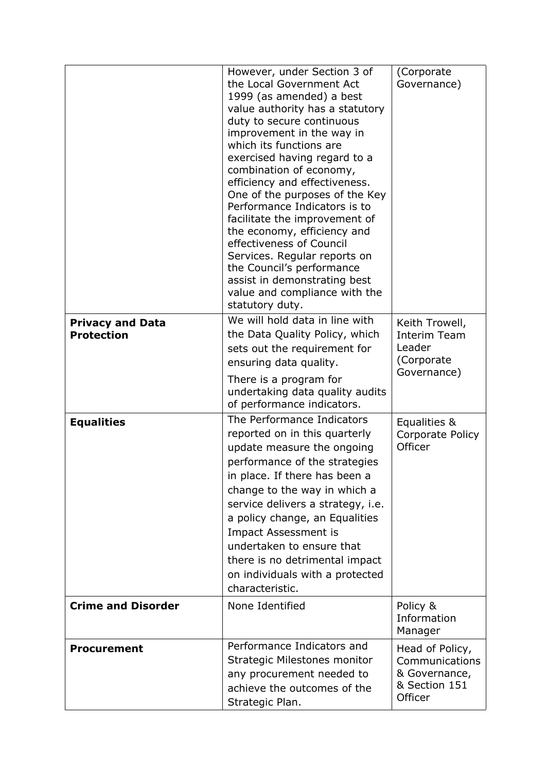|                                              | However, under Section 3 of<br>the Local Government Act<br>1999 (as amended) a best<br>value authority has a statutory<br>duty to secure continuous<br>improvement in the way in<br>which its functions are<br>exercised having regard to a<br>combination of economy,<br>efficiency and effectiveness.<br>One of the purposes of the Key<br>Performance Indicators is to<br>facilitate the improvement of<br>the economy, efficiency and<br>effectiveness of Council<br>Services. Regular reports on<br>the Council's performance<br>assist in demonstrating best<br>value and compliance with the<br>statutory duty. | (Corporate<br>Governance)                                                      |
|----------------------------------------------|------------------------------------------------------------------------------------------------------------------------------------------------------------------------------------------------------------------------------------------------------------------------------------------------------------------------------------------------------------------------------------------------------------------------------------------------------------------------------------------------------------------------------------------------------------------------------------------------------------------------|--------------------------------------------------------------------------------|
| <b>Privacy and Data</b><br><b>Protection</b> | We will hold data in line with<br>the Data Quality Policy, which<br>sets out the requirement for<br>ensuring data quality.<br>There is a program for<br>undertaking data quality audits<br>of performance indicators.                                                                                                                                                                                                                                                                                                                                                                                                  | Keith Trowell,<br>Interim Team<br>Leader<br>(Corporate<br>Governance)          |
| <b>Equalities</b>                            | The Performance Indicators<br>reported on in this quarterly<br>update measure the ongoing<br>performance of the strategies<br>in place. If there has been a<br>change to the way in which a<br>service delivers a strategy, i.e.<br>a policy change, an Equalities<br>Impact Assessment is<br>undertaken to ensure that<br>there is no detrimental impact<br>on individuals with a protected<br>characteristic.                                                                                                                                                                                                        | Equalities &<br>Corporate Policy<br>Officer                                    |
| <b>Crime and Disorder</b>                    | None Identified                                                                                                                                                                                                                                                                                                                                                                                                                                                                                                                                                                                                        | Policy &<br>Information<br>Manager                                             |
| <b>Procurement</b>                           | Performance Indicators and<br>Strategic Milestones monitor<br>any procurement needed to<br>achieve the outcomes of the<br>Strategic Plan.                                                                                                                                                                                                                                                                                                                                                                                                                                                                              | Head of Policy,<br>Communications<br>& Governance,<br>& Section 151<br>Officer |